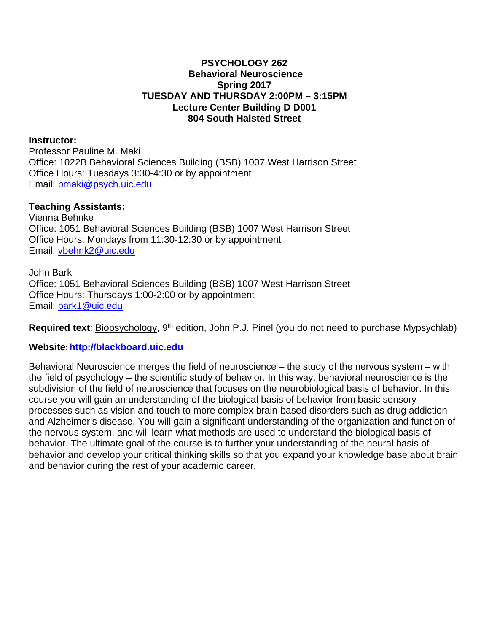#### **PSYCHOLOGY 262 Behavioral Neuroscience Spring 2017 TUESDAY AND THURSDAY 2:00PM – 3:15PM Lecture Center Building D D001 804 South Halsted Street**

#### **Instructor:**

Professor Pauline M. Maki Office: 1022B Behavioral Sciences Building (BSB) 1007 West Harrison Street Office Hours: Tuesdays 3:30-4:30 or by appointment Email: [pmaki@psych.uic.edu](mailto:pmaki@psych.uic.edu)

#### **Teaching Assistants:**

Vienna Behnke Office: 1051 Behavioral Sciences Building (BSB) 1007 West Harrison Street Office Hours: Mondays from 11:30-12:30 or by appointment Email: [vbehnk2@uic.edu](mailto:vbehnk2@uic.edu)

John Bark Office: 1051 Behavioral Sciences Building (BSB) 1007 West Harrison Street Office Hours: Thursdays 1:00-2:00 or by appointment Email: [bark1@uic.edu](mailto:bark1@uic.edu)

**Required text**: Biopsychology, 9<sup>th</sup> edition, John P.J. Pinel (you do not need to purchase Mypsychlab)

#### **Website**: **[http://blackboard.uic.edu](http://blackboard.uic.edu/)**

Behavioral Neuroscience merges the field of neuroscience – the study of the nervous system – with the field of psychology – the scientific study of behavior. In this way, behavioral neuroscience is the subdivision of the field of neuroscience that focuses on the neurobiological basis of behavior. In this course you will gain an understanding of the biological basis of behavior from basic sensory processes such as vision and touch to more complex brain-based disorders such as drug addiction and Alzheimer's disease. You will gain a significant understanding of the organization and function of the nervous system, and will learn what methods are used to understand the biological basis of behavior. The ultimate goal of the course is to further your understanding of the neural basis of behavior and develop your critical thinking skills so that you expand your knowledge base about brain and behavior during the rest of your academic career.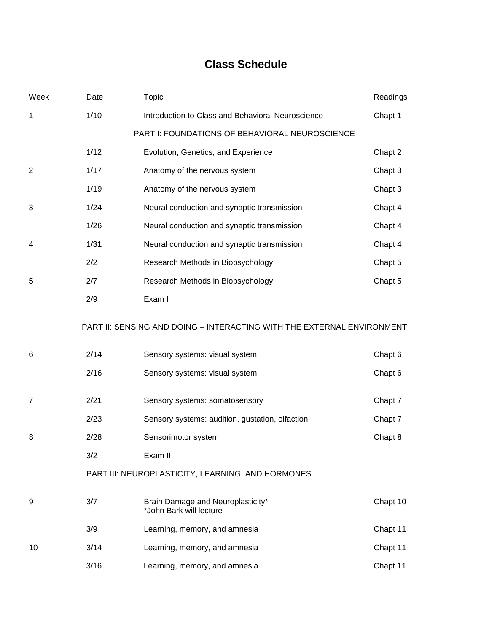# **Class Schedule**

| <b>Week</b>    | Date | <b>Topic</b>                                                           | <b>Readings</b> |  |
|----------------|------|------------------------------------------------------------------------|-----------------|--|
| 1              | 1/10 | Introduction to Class and Behavioral Neuroscience                      | Chapt 1         |  |
|                |      | PART I: FOUNDATIONS OF BEHAVIORAL NEUROSCIENCE                         |                 |  |
|                | 1/12 | Evolution, Genetics, and Experience                                    | Chapt 2         |  |
| $\overline{2}$ | 1/17 | Anatomy of the nervous system                                          | Chapt 3         |  |
|                | 1/19 | Anatomy of the nervous system                                          | Chapt 3         |  |
| 3              | 1/24 | Neural conduction and synaptic transmission                            | Chapt 4         |  |
|                | 1/26 | Neural conduction and synaptic transmission                            | Chapt 4         |  |
| 4              | 1/31 | Neural conduction and synaptic transmission                            | Chapt 4         |  |
|                | 2/2  | Research Methods in Biopsychology                                      | Chapt 5         |  |
| 5              | 2/7  | Research Methods in Biopsychology                                      | Chapt 5         |  |
|                | 2/9  | Exam I                                                                 |                 |  |
|                |      | PART II: SENSING AND DOING - INTERACTING WITH THE EXTERNAL ENVIRONMENT |                 |  |
| 6              | 2/14 | Sensory systems: visual system                                         | Chapt 6         |  |
|                | 2/16 | Sensory systems: visual system                                         | Chapt 6         |  |
| 7              | 2/21 | Sensory systems: somatosensory                                         | Chapt 7         |  |
|                | 2/23 | Sensory systems: audition, gustation, olfaction                        | Chapt 7         |  |
| 8              | 2/28 | Sensorimotor system                                                    | Chapt 8         |  |
|                | 3/2  | Exam II                                                                |                 |  |
|                |      | PART III: NEUROPLASTICITY, LEARNING, AND HORMONES                      |                 |  |
| 9              | 3/7  | Brain Damage and Neuroplasticity*<br>*John Bark will lecture           | Chapt 10        |  |
|                | 3/9  | Learning, memory, and amnesia                                          | Chapt 11        |  |
| 10             | 3/14 | Learning, memory, and amnesia                                          | Chapt 11        |  |
|                | 3/16 | Learning, memory, and amnesia                                          | Chapt 11        |  |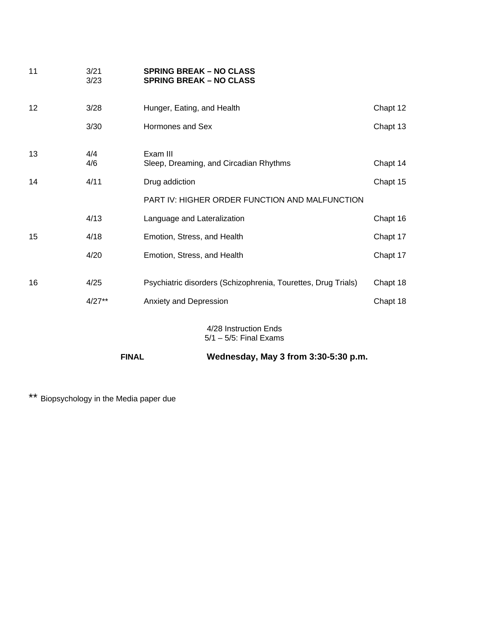| 11                | 3/21<br>3/23 | <b>SPRING BREAK – NO CLASS</b><br><b>SPRING BREAK - NO CLASS</b> |          |
|-------------------|--------------|------------------------------------------------------------------|----------|
| $12 \overline{ }$ | 3/28         | Hunger, Eating, and Health                                       | Chapt 12 |
|                   | 3/30         | Hormones and Sex                                                 | Chapt 13 |
| 13                | 4/4<br>4/6   | Exam III<br>Sleep, Dreaming, and Circadian Rhythms               | Chapt 14 |
| 14                | 4/11         | Drug addiction                                                   | Chapt 15 |
|                   |              | <b>PART IV: HIGHER ORDER FUNCTION AND MALFUNCTION</b>            |          |
|                   | 4/13         | Language and Lateralization                                      | Chapt 16 |
| 15                | 4/18         | Emotion, Stress, and Health                                      | Chapt 17 |
|                   | 4/20         | Emotion, Stress, and Health                                      | Chapt 17 |
| 16                | 4/25         | Psychiatric disorders (Schizophrenia, Tourettes, Drug Trials)    | Chapt 18 |
|                   | $4/27**$     | Anxiety and Depression                                           | Chapt 18 |
|                   |              | 4/28 Instruction Ends                                            |          |

5/1 – 5/5: Final Exams

**FINAL Wednesday, May 3 from 3:30-5:30 p.m.**

\*\* Biopsychology in the Media paper due